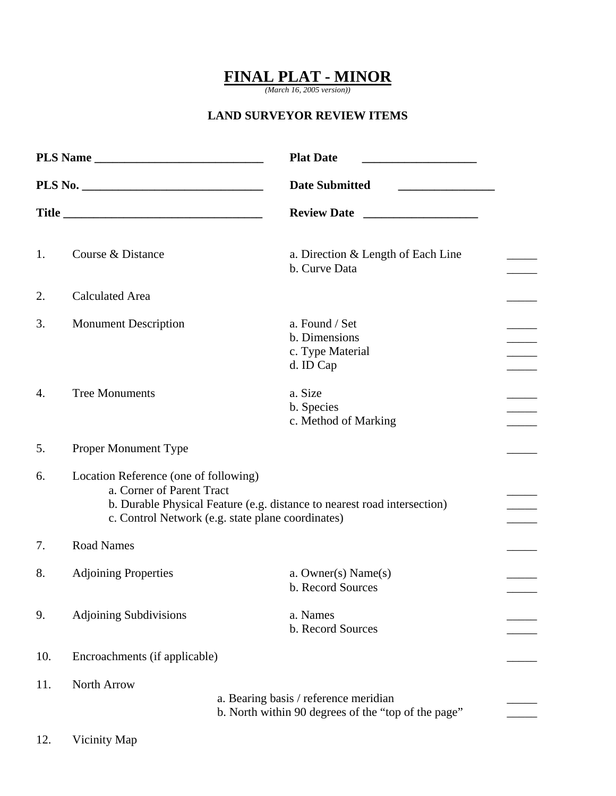## **FINAL PLAT - MINOR**

*(March 16, 2005 version))* 

## **LAND SURVEYOR REVIEW ITEMS**

| PLS Name |                                                                                                                                                                                                     | <b>Plat Date</b><br><u> 1989 - Johann Barn, mars and de Branch Barn, mars and de Branch Barn, mars and de Branch Barn, mars and de Br</u> |  |
|----------|-----------------------------------------------------------------------------------------------------------------------------------------------------------------------------------------------------|-------------------------------------------------------------------------------------------------------------------------------------------|--|
|          |                                                                                                                                                                                                     | <b>Date Submitted</b>                                                                                                                     |  |
|          |                                                                                                                                                                                                     |                                                                                                                                           |  |
| 1.       | Course & Distance                                                                                                                                                                                   | a. Direction & Length of Each Line<br>b. Curve Data                                                                                       |  |
| 2.       | <b>Calculated Area</b>                                                                                                                                                                              |                                                                                                                                           |  |
| 3.       | <b>Monument Description</b>                                                                                                                                                                         | a. Found / Set<br>b. Dimensions<br>c. Type Material<br>d. ID Cap                                                                          |  |
| 4.       | <b>Tree Monuments</b>                                                                                                                                                                               | a. Size<br>b. Species<br>c. Method of Marking                                                                                             |  |
| 5.       | Proper Monument Type                                                                                                                                                                                |                                                                                                                                           |  |
| 6.       | Location Reference (one of following)<br>a. Corner of Parent Tract<br>b. Durable Physical Feature (e.g. distance to nearest road intersection)<br>c. Control Network (e.g. state plane coordinates) |                                                                                                                                           |  |
| 7.       | <b>Road Names</b>                                                                                                                                                                                   |                                                                                                                                           |  |
| 8.       | <b>Adjoining Properties</b>                                                                                                                                                                         | a. Owner(s) $Name(s)$<br>b. Record Sources                                                                                                |  |
| 9.       | <b>Adjoining Subdivisions</b>                                                                                                                                                                       | a. Names<br>b. Record Sources                                                                                                             |  |
| 10.      | Encroachments (if applicable)                                                                                                                                                                       |                                                                                                                                           |  |
| 11.      | North Arrow                                                                                                                                                                                         | a. Bearing basis / reference meridian<br>b. North within 90 degrees of the "top of the page"                                              |  |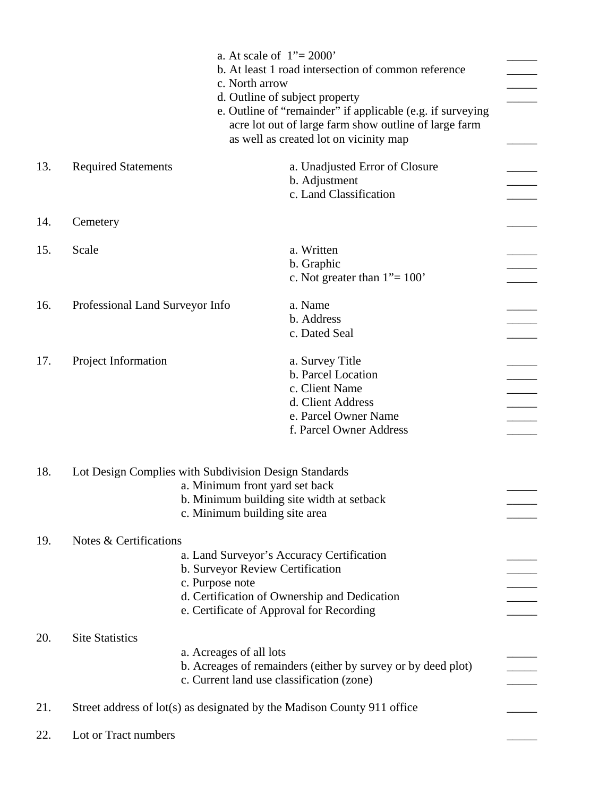|     |                                                                         | c. North arrow                                                                                                                                                                               | a. At scale of $1" = 2000"$<br>b. At least 1 road intersection of common reference<br>d. Outline of subject property<br>e. Outline of "remainder" if applicable (e.g. if surveying<br>acre lot out of large farm show outline of large farm<br>as well as created lot on vicinity map |  |
|-----|-------------------------------------------------------------------------|----------------------------------------------------------------------------------------------------------------------------------------------------------------------------------------------|---------------------------------------------------------------------------------------------------------------------------------------------------------------------------------------------------------------------------------------------------------------------------------------|--|
| 13. | <b>Required Statements</b>                                              |                                                                                                                                                                                              | a. Unadjusted Error of Closure<br>b. Adjustment<br>c. Land Classification                                                                                                                                                                                                             |  |
| 14. | Cemetery                                                                |                                                                                                                                                                                              |                                                                                                                                                                                                                                                                                       |  |
| 15. | Scale                                                                   |                                                                                                                                                                                              | a. Written<br>b. Graphic<br>c. Not greater than $1" = 100"$                                                                                                                                                                                                                           |  |
| 16. | Professional Land Surveyor Info                                         |                                                                                                                                                                                              | a. Name<br>b. Address<br>c. Dated Seal                                                                                                                                                                                                                                                |  |
| 17. | Project Information                                                     |                                                                                                                                                                                              | a. Survey Title<br>b. Parcel Location<br>c. Client Name<br>d. Client Address<br>e. Parcel Owner Name<br>f. Parcel Owner Address                                                                                                                                                       |  |
| 18. |                                                                         | Lot Design Complies with Subdivision Design Standards<br>a. Minimum front yard set back<br>b. Minimum building site width at setback<br>c. Minimum building site area                        |                                                                                                                                                                                                                                                                                       |  |
| 19. | Notes & Certifications                                                  | a. Land Surveyor's Accuracy Certification<br>b. Surveyor Review Certification<br>c. Purpose note<br>d. Certification of Ownership and Dedication<br>e. Certificate of Approval for Recording |                                                                                                                                                                                                                                                                                       |  |
| 20. | <b>Site Statistics</b>                                                  | a. Acreages of all lots<br>b. Acreages of remainders (either by survey or by deed plot)<br>c. Current land use classification (zone)                                                         |                                                                                                                                                                                                                                                                                       |  |
| 21. | Street address of lot(s) as designated by the Madison County 911 office |                                                                                                                                                                                              |                                                                                                                                                                                                                                                                                       |  |
| 22. | Lot or Tract numbers                                                    |                                                                                                                                                                                              |                                                                                                                                                                                                                                                                                       |  |